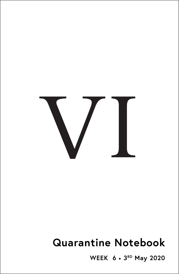

# **Quarantine Notebook**

WEEK 6 . 3RD May 2020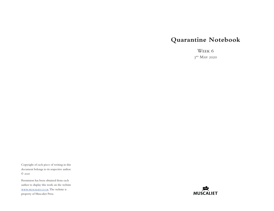# **Quarantine Notebook**

Week 6  $3<sup>RD</sup>$  May 2020

Copyright of each piece of writing in this document belongs to its respective author. © 2020

Permission has been obtained from each author to display this work on the website [www.muscaliet.co.uk.](https://www.muscaliet.co.uk) The website is property of Muscaliet Press.

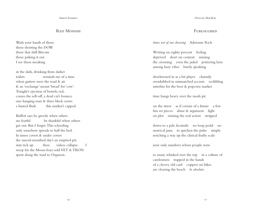# R<sub>ED</sub> MONDAY

Wash your hands of them those shorting the DOW those that shill Bitcoin those puking it out. I see them sneaking

in the dark, drinking from darker toilets reminds me of a time when gutters were the road & air & an 'exchange' meant 'bread' for 'cow'. Tonight's ejection of bowels, red, comes the sell-off, a dead cat's bounce one hanging man & three black crows a busted flush this market's capped.

Buffett says be greedy when others are fearful be thankful when others get out. But I forget. This schooling only somehow spreads to half the bed. In times covert & under covers the rancid-mouthed day's an emptied pit; stats tick up then values collapse I weep for the Moon-boys sold VET & TRON spent along the road to Organon.

Duncan MacKay

## **FURLOUGHED**

*times not of our choosing* Adrienne Rich

Writing on eighty percent feeling deprived short on content missing the crooning even the jaded pottering here among hazy vibes barely speaking

shoehorned in as a bit player clumsily overdubbed in mismatched accents scribbling astrofizz for the beer & popcorn market

time hangs heavy over the mosh pit

on the street as if certain of a future a few fun set pieces abuse & argument light on plot missing the real action stripped

down to a pale facsimile no loop pedal no metrical jams to quicken the pulse simply notching a way up the clinical frailty scale

now only numbers where people were

so many whisked over the top in a culture of carelessness trapped in the hands of a cheery old card coppers on bikes are clearing the beach *be absolute*.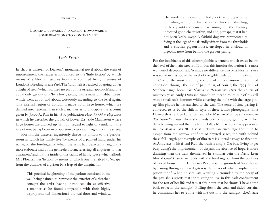#### Ian Brinton

# Looking upwards / looking downwards: SOME REACTIONS TO CONFINEMENT

II

# *Little Dorrit*

In chapter thirteen of Dickens's monumental novel about the stain of imprisonment the reader is introduced to the 'little fiction' by which means Mrs Plornish escapes from the confined living premises of London's Bleeding Heart Yard. The Yard itself is reached by going down a flight of steps 'which formed no part of the original approach' and one could only get out of it 'by a low gateway into a maze of shabby streets, which went about and about, tortuously ascending to the level again.' This infernal region of London is made up of large houses which are divided into tenements in such a manner as to anticipate the account given by Jacob A. Riis in his 1890 publication *How the Other Half Lives*  in which he describes the growth of Lower East Side Manhatten where large houses are divided up 'without regard to light or ventilation, the rate of rent being lower in proportion to space or height from the street.'

Plornish the plasterer ingeniously directs his visitors to the 'parlour' room in which his family live 'by means of a painted hand under his name, on the forefinger of which the artist had depicted a ring and a most elaborate nail of the genteelest form, referring all enquirers to that apartment' and it is the inside of this cramped living-space which affords Mrs Plornish her 'fiction' by means of which one is enabled to 'escape' from the confines of a prison by a leap of the imagination:

> This poetical heightening of the parlour consisted in the wall being painted to represent the exterior of a thatched cottage; the artist having introduced (in as effective a manner as he found compatible with their highly disproportioned dimensions) the real door and window.

The modest sunflower and hollyhock were depicted as flourishing with great luxuriance on this rustic dwelling, while a quantity of dense smoke issuing from the chimney indicated good cheer within, and also, perhaps, that it had not been lately swept. A faithful dog was represented as flying at the legs of the friendly visitor, from the threshold; and a circular pigeon-house, enveloped in a cloud of pigeons, arose from behind the garden-paling.

For the inhabitants of this claustrophobic tenement which exists below the level of the main streets of London this interior decoration is 'a most wonderful deception' and 'it made no difference that Mrs Plornish's eye was some inches above the level of the gable bed-room in the thatch'.

One of the most uplifting versions of this expansion of confined conditions through the use of pictures is, of course, the 1994 film of Stephen King's book, *The Shawshank Redemption*. Over the course of nineteen years Andy Dufresne tunnels an escape route out of his cell with a small rock-hammer whilst covering the hole with the large pinup film photos he has attached to the wall. The sense of time passing is conveyed to us by the shift in style of these iconic photographs: Rita Hayworth is replaced after ten years by Marilyn Monroe's moment in *The Seven Year Itch* where she stands over a subway grating with her dress blowing up and then by Raquel Welch's furred bikini- appearance in *One Million Years BC*. Just as pictures can encourage the mind to escape from the narrow confines of physical space, the truth behind these full-length photographs of film stars is a literal passage to freedom. As Andy says to his friend Red, the truth is simple 'Get busy living or get busy dying': the imprisonment of despair, the absence of hope, is more damning than the walls themselves. In a similar vein the David Lean film of *Great Expectations* ends with the breaking out from the confines of a dead house. In the last scenes Pip enters the grounds of Satis House by passing through a barred gateway the spikes of which emphasise the prison motif. When he sees Estella sitting surrounded by the decay of the past she suggests that she is going to live in this dark confinement for the rest of her life and it is at this point that he shouts 'I have come back to let in the sunlight'. Pulling down the torn and faded curtains he commands her to 'come with me out into the sunlight…Let's start